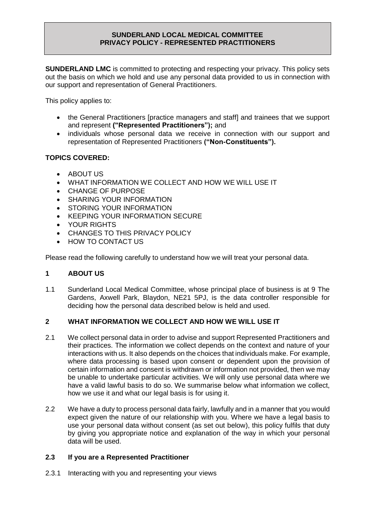**SUNDERLAND LMC** is committed to protecting and respecting your privacy. This policy sets out the basis on which we hold and use any personal data provided to us in connection with our support and representation of General Practitioners.

This policy applies to:

- the General Practitioners [practice managers and staff] and trainees that we support and represent **("Represented Practitioners");** and
- individuals whose personal data we receive in connection with our support and representation of Represented Practitioners **("Non-Constituents").**

# **TOPICS COVERED:**

- ABOUT US
- WHAT INFORMATION WE COLLECT AND HOW WE WILL USE IT
- CHANGE OF PURPOSE
- SHARING YOUR INFORMATION
- STORING YOUR INFORMATION
- KEEPING YOUR INFORMATION SECURE
- YOUR RIGHTS
- CHANGES TO THIS PRIVACY POLICY
- HOW TO CONTACT US

Please read the following carefully to understand how we will treat your personal data.

## **1 ABOUT US**

1.1 Sunderland Local Medical Committee, whose principal place of business is at 9 The Gardens, Axwell Park, Blaydon, NE21 5PJ, is the data controller responsible for deciding how the personal data described below is held and used.

## **2 WHAT INFORMATION WE COLLECT AND HOW WE WILL USE IT**

- 2.1 We collect personal data in order to advise and support Represented Practitioners and their practices. The information we collect depends on the context and nature of your interactions with us. It also depends on the choices that individuals make. For example, where data processing is based upon consent or dependent upon the provision of certain information and consent is withdrawn or information not provided, then we may be unable to undertake particular activities. We will only use personal data where we have a valid lawful basis to do so. We summarise below what information we collect, how we use it and what our legal basis is for using it.
- 2.2 We have a duty to process personal data fairly, lawfully and in a manner that you would expect given the nature of our relationship with you. Where we have a legal basis to use your personal data without consent (as set out below), this policy fulfils that duty by giving you appropriate notice and explanation of the way in which your personal data will be used.

## **2.3 If you are a Represented Practitioner**

2.3.1 Interacting with you and representing your views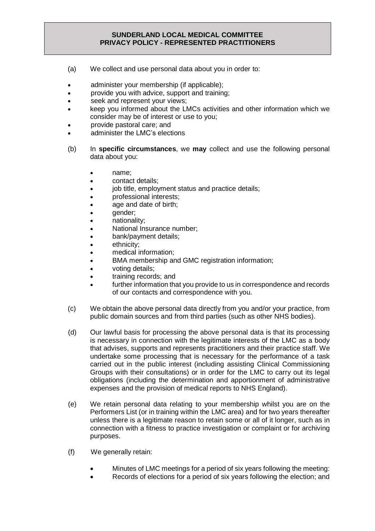- (a) We collect and use personal data about you in order to:
- administer your membership (if applicable);
- provide you with advice, support and training;
- seek and represent your views;
- keep you informed about the LMCs activities and other information which we consider may be of interest or use to you;
- provide pastoral care; and
- administer the LMC's elections
- (b) In **specific circumstances**, we **may** collect and use the following personal data about you:
	- name;
	- contact details;
	- job title, employment status and practice details;
	- professional interests;
	- age and date of birth;
	- qender;
	- nationality;
	- National Insurance number;
	- bank/payment details;
	- ethnicity:
	- medical information;
	- BMA membership and GMC registration information;
	- voting details;
	- training records; and
	- further information that you provide to us in correspondence and records of our contacts and correspondence with you.
- (c) We obtain the above personal data directly from you and/or your practice, from public domain sources and from third parties (such as other NHS bodies).
- (d) Our lawful basis for processing the above personal data is that its processing is necessary in connection with the legitimate interests of the LMC as a body that advises, supports and represents practitioners and their practice staff. We undertake some processing that is necessary for the performance of a task carried out in the public interest (including assisting Clinical Commissioning Groups with their consultations) or in order for the LMC to carry out its legal obligations (including the determination and apportionment of administrative expenses and the provision of medical reports to NHS England).
- (e) We retain personal data relating to your membership whilst you are on the Performers List (or in training within the LMC area) and for two years thereafter unless there is a legitimate reason to retain some or all of it longer, such as in connection with a fitness to practice investigation or complaint or for archiving purposes.
- (f) We generally retain:
	- Minutes of LMC meetings for a period of six years following the meeting:
	- Records of elections for a period of six years following the election; and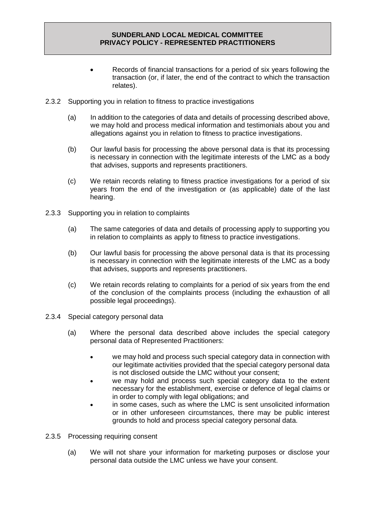- Records of financial transactions for a period of six years following the transaction (or, if later, the end of the contract to which the transaction relates).
- 2.3.2 Supporting you in relation to fitness to practice investigations
	- (a) In addition to the categories of data and details of processing described above, we may hold and process medical information and testimonials about you and allegations against you in relation to fitness to practice investigations.
	- (b) Our lawful basis for processing the above personal data is that its processing is necessary in connection with the legitimate interests of the LMC as a body that advises, supports and represents practitioners.
	- (c) We retain records relating to fitness practice investigations for a period of six years from the end of the investigation or (as applicable) date of the last hearing.
- 2.3.3 Supporting you in relation to complaints
	- (a) The same categories of data and details of processing apply to supporting you in relation to complaints as apply to fitness to practice investigations.
	- (b) Our lawful basis for processing the above personal data is that its processing is necessary in connection with the legitimate interests of the LMC as a body that advises, supports and represents practitioners.
	- (c) We retain records relating to complaints for a period of six years from the end of the conclusion of the complaints process (including the exhaustion of all possible legal proceedings).
- 2.3.4 Special category personal data
	- (a) Where the personal data described above includes the special category personal data of Represented Practitioners:
		- we may hold and process such special category data in connection with our legitimate activities provided that the special category personal data is not disclosed outside the LMC without your consent;
		- we may hold and process such special category data to the extent necessary for the establishment, exercise or defence of legal claims or in order to comply with legal obligations; and
		- in some cases, such as where the LMC is sent unsolicited information or in other unforeseen circumstances, there may be public interest grounds to hold and process special category personal data.
- 2.3.5 Processing requiring consent
	- (a) We will not share your information for marketing purposes or disclose your personal data outside the LMC unless we have your consent.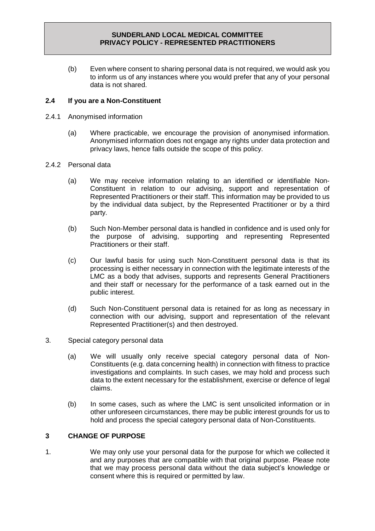(b) Even where consent to sharing personal data is not required, we would ask you to inform us of any instances where you would prefer that any of your personal data is not shared.

## **2.4 If you are a Non-Constituent**

- 2.4.1 Anonymised information
	- (a) Where practicable, we encourage the provision of anonymised information. Anonymised information does not engage any rights under data protection and privacy laws, hence falls outside the scope of this policy.

#### 2.4.2 Personal data

- (a) We may receive information relating to an identified or identifiable Non-Constituent in relation to our advising, support and representation of Represented Practitioners or their staff. This information may be provided to us by the individual data subject, by the Represented Practitioner or by a third party.
- (b) Such Non-Member personal data is handled in confidence and is used only for the purpose of advising, supporting and representing Represented Practitioners or their staff.
- (c) Our lawful basis for using such Non-Constituent personal data is that its processing is either necessary in connection with the legitimate interests of the LMC as a body that advises, supports and represents General Practitioners and their staff or necessary for the performance of a task earned out in the public interest.
- (d) Such Non-Constituent personal data is retained for as long as necessary in connection with our advising, support and representation of the relevant Represented Practitioner(s) and then destroyed.
- 3. Special category personal data
	- (a) We will usually only receive special category personal data of Non-Constituents (e.g. data concerning health) in connection with fitness to practice investigations and complaints. In such cases, we may hold and process such data to the extent necessary for the establishment, exercise or defence of legal claims.
	- (b) In some cases, such as where the LMC is sent unsolicited information or in other unforeseen circumstances, there may be public interest grounds for us to hold and process the special category personal data of Non-Constituents.

## **3 CHANGE OF PURPOSE**

1. We may only use your personal data for the purpose for which we collected it and any purposes that are compatible with that original purpose. Please note that we may process personal data without the data subject's knowledge or consent where this is required or permitted by law.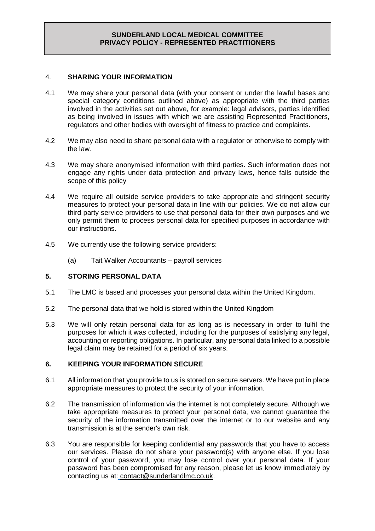### 4. **SHARING YOUR INFORMATION**

- 4.1 We may share your personal data (with your consent or under the lawful bases and special category conditions outlined above) as appropriate with the third parties involved in the activities set out above, for example: legal advisors, parties identified as being involved in issues with which we are assisting Represented Practitioners, regulators and other bodies with oversight of fitness to practice and complaints.
- 4.2 We may also need to share personal data with a regulator or otherwise to comply with the law.
- 4.3 We may share anonymised information with third parties. Such information does not engage any rights under data protection and privacy laws, hence falls outside the scope of this policy
- 4.4 We require all outside service providers to take appropriate and stringent security measures to protect your personal data in line with our policies. We do not allow our third party service providers to use that personal data for their own purposes and we only permit them to process personal data for specified purposes in accordance with our instructions.
- 4.5 We currently use the following service providers:
	- (a) Tait Walker Accountants payroll services

## **5. STORING PERSONAL DATA**

- 5.1 The LMC is based and processes your personal data within the United Kingdom.
- 5.2 The personal data that we hold is stored within the United Kingdom
- 5.3 We will only retain personal data for as long as is necessary in order to fulfil the purposes for which it was collected, including for the purposes of satisfying any legal, accounting or reporting obligations. In particular, any personal data linked to a possible legal claim may be retained for a period of six years.

## **6. KEEPING YOUR INFORMATION SECURE**

- 6.1 All information that you provide to us is stored on secure servers. We have put in place appropriate measures to protect the security of your information.
- 6.2 The transmission of information via the internet is not completely secure. Although we take appropriate measures to protect your personal data, we cannot guarantee the security of the information transmitted over the internet or to our website and any transmission is at the sender's own risk.
- 6.3 You are responsible for keeping confidential any passwords that you have to access our services. Please do not share your password(s) with anyone else. If you lose control of your password, you may lose control over your personal data. If your password has been compromised for any reason, please let us know immediately by contacting us at: [contact@sunderlandlmc.co.uk.](mailto:contact@sunderlandlmc.co.uk)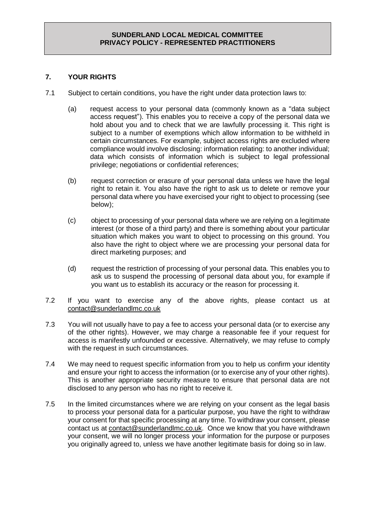# **7. YOUR RIGHTS**

- 7.1 Subject to certain conditions, you have the right under data protection laws to:
	- (a) request access to your personal data (commonly known as a "data subject access request"). This enables you to receive a copy of the personal data we hold about you and to check that we are lawfully processing it. This right is subject to a number of exemptions which allow information to be withheld in certain circumstances. For example, subject access rights are excluded where compliance would involve disclosing: information relating: to another individual; data which consists of information which is subject to legal professional privilege; negotiations or confidential references;
	- (b) request correction or erasure of your personal data unless we have the legal right to retain it. You also have the right to ask us to delete or remove your personal data where you have exercised your right to object to processing (see below);
	- (c) object to processing of your personal data where we are relying on a legitimate interest (or those of a third party) and there is something about your particular situation which makes you want to object to processing on this ground. You also have the right to object where we are processing your personal data for direct marketing purposes; and
	- (d) request the restriction of processing of your personal data. This enables you to ask us to suspend the processing of personal data about you, for example if you want us to establish its accuracy or the reason for processing it.
- 7.2 If you want to exercise any of the above rights, please contact us at [contact@sunderlandlmc.co.uk](mailto:contact@sunderlandlmc.co.uk)
- 7.3 You will not usually have to pay a fee to access your personal data (or to exercise any of the other rights). However, we may charge a reasonable fee if your request for access is manifestly unfounded or excessive. Alternatively, we may refuse to comply with the request in such circumstances.
- 7.4 We may need to request specific information from you to help us confirm your identity and ensure your right to access the information (or to exercise any of your other rights). This is another appropriate security measure to ensure that personal data are not disclosed to any person who has no right to receive it.
- 7.5 In the limited circumstances where we are relying on your consent as the legal basis to process your personal data for a particular purpose, you have the right to withdraw your consent for that specific processing at any time. To withdraw your consent, please contact us at [contact@sunderlandlmc.co.uk.](mailto:contact@sunderlandlmc.co.uk) Once we know that you have withdrawn your consent, we will no longer process your information for the purpose or purposes you originally agreed to, unless we have another legitimate basis for doing so in law.